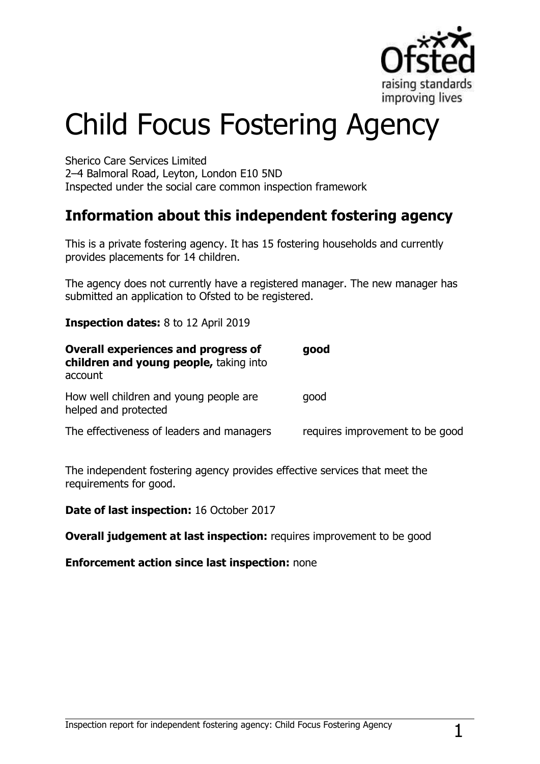

# Child Focus Fostering Agency

Sherico Care Services Limited 2–4 Balmoral Road, Leyton, London E10 5ND Inspected under the social care common inspection framework

# **Information about this independent fostering agency**

This is a private fostering agency. It has 15 fostering households and currently provides placements for 14 children.

The agency does not currently have a registered manager. The new manager has submitted an application to Ofsted to be registered.

**Inspection dates:** 8 to 12 April 2019

| <b>Overall experiences and progress of</b><br>children and young people, taking into<br>account | good                            |
|-------------------------------------------------------------------------------------------------|---------------------------------|
| How well children and young people are<br>helped and protected                                  | good                            |
| The effectiveness of leaders and managers                                                       | requires improvement to be good |

The independent fostering agency provides effective services that meet the requirements for good.

**Date of last inspection:** 16 October 2017

**Overall judgement at last inspection:** requires improvement to be good

### **Enforcement action since last inspection:** none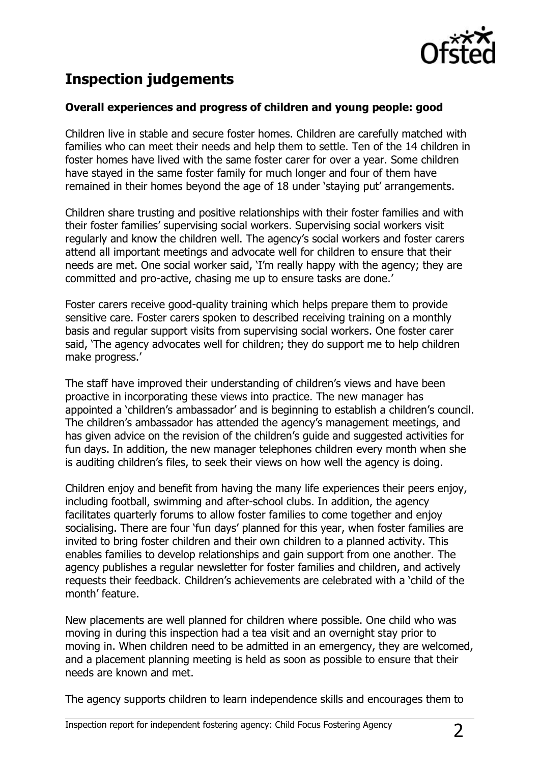

# **Inspection judgements**

## **Overall experiences and progress of children and young people: good**

Children live in stable and secure foster homes. Children are carefully matched with families who can meet their needs and help them to settle. Ten of the 14 children in foster homes have lived with the same foster carer for over a year. Some children have stayed in the same foster family for much longer and four of them have remained in their homes beyond the age of 18 under "staying put" arrangements.

Children share trusting and positive relationships with their foster families and with their foster families" supervising social workers. Supervising social workers visit regularly and know the children well. The agency"s social workers and foster carers attend all important meetings and advocate well for children to ensure that their needs are met. One social worker said, "I"m really happy with the agency; they are committed and pro-active, chasing me up to ensure tasks are done."

Foster carers receive good-quality training which helps prepare them to provide sensitive care. Foster carers spoken to described receiving training on a monthly basis and regular support visits from supervising social workers. One foster carer said, "The agency advocates well for children; they do support me to help children make progress."

The staff have improved their understanding of children's views and have been proactive in incorporating these views into practice. The new manager has appointed a 'children's ambassador' and is beginning to establish a children's council. The children's ambassador has attended the agency's management meetings, and has given advice on the revision of the children's guide and suggested activities for fun days. In addition, the new manager telephones children every month when she is auditing children's files, to seek their views on how well the agency is doing.

Children enjoy and benefit from having the many life experiences their peers enjoy, including football, swimming and after-school clubs. In addition, the agency facilitates quarterly forums to allow foster families to come together and enjoy socialising. There are four "fun days" planned for this year, when foster families are invited to bring foster children and their own children to a planned activity. This enables families to develop relationships and gain support from one another. The agency publishes a regular newsletter for foster families and children, and actively requests their feedback. Children"s achievements are celebrated with a "child of the month' feature.

New placements are well planned for children where possible. One child who was moving in during this inspection had a tea visit and an overnight stay prior to moving in. When children need to be admitted in an emergency, they are welcomed, and a placement planning meeting is held as soon as possible to ensure that their needs are known and met.

The agency supports children to learn independence skills and encourages them to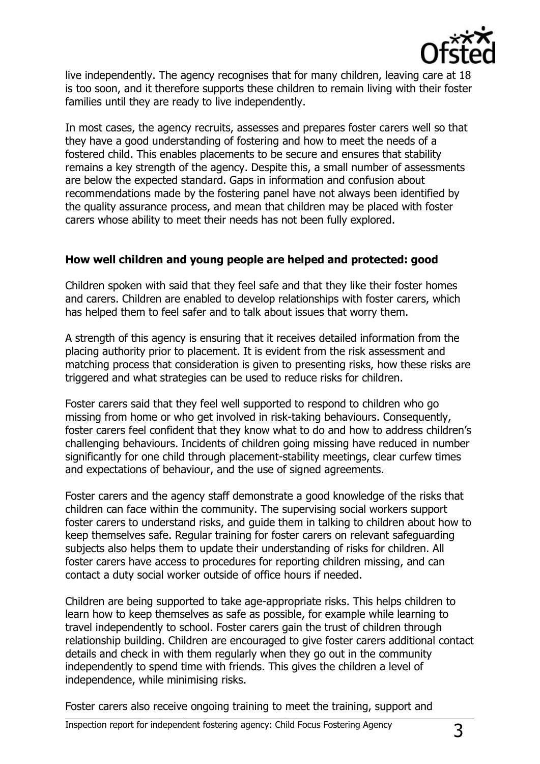

live independently. The agency recognises that for many children, leaving care at 18 is too soon, and it therefore supports these children to remain living with their foster families until they are ready to live independently.

In most cases, the agency recruits, assesses and prepares foster carers well so that they have a good understanding of fostering and how to meet the needs of a fostered child. This enables placements to be secure and ensures that stability remains a key strength of the agency. Despite this, a small number of assessments are below the expected standard. Gaps in information and confusion about recommendations made by the fostering panel have not always been identified by the quality assurance process, and mean that children may be placed with foster carers whose ability to meet their needs has not been fully explored.

### **How well children and young people are helped and protected: good**

Children spoken with said that they feel safe and that they like their foster homes and carers. Children are enabled to develop relationships with foster carers, which has helped them to feel safer and to talk about issues that worry them.

A strength of this agency is ensuring that it receives detailed information from the placing authority prior to placement. It is evident from the risk assessment and matching process that consideration is given to presenting risks, how these risks are triggered and what strategies can be used to reduce risks for children.

Foster carers said that they feel well supported to respond to children who go missing from home or who get involved in risk-taking behaviours. Consequently, foster carers feel confident that they know what to do and how to address children"s challenging behaviours. Incidents of children going missing have reduced in number significantly for one child through placement-stability meetings, clear curfew times and expectations of behaviour, and the use of signed agreements.

Foster carers and the agency staff demonstrate a good knowledge of the risks that children can face within the community. The supervising social workers support foster carers to understand risks, and guide them in talking to children about how to keep themselves safe. Regular training for foster carers on relevant safeguarding subjects also helps them to update their understanding of risks for children. All foster carers have access to procedures for reporting children missing, and can contact a duty social worker outside of office hours if needed.

Children are being supported to take age-appropriate risks. This helps children to learn how to keep themselves as safe as possible, for example while learning to travel independently to school. Foster carers gain the trust of children through relationship building. Children are encouraged to give foster carers additional contact details and check in with them regularly when they go out in the community independently to spend time with friends. This gives the children a level of independence, while minimising risks.

Foster carers also receive ongoing training to meet the training, support and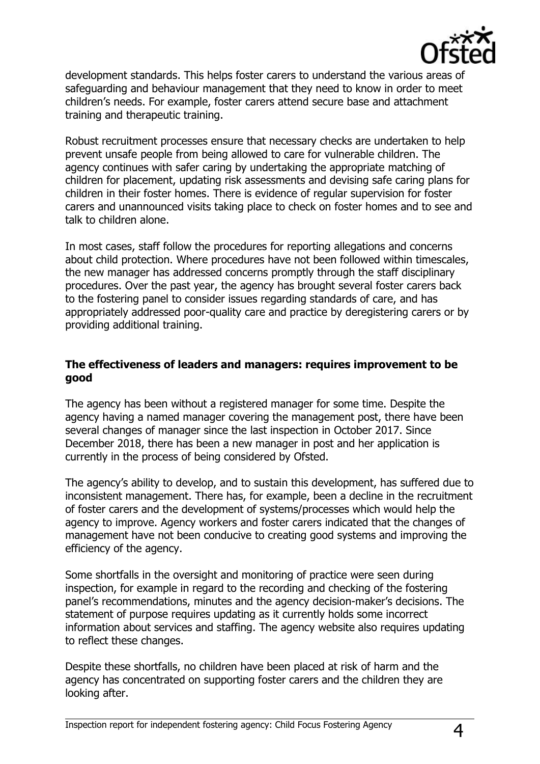

development standards. This helps foster carers to understand the various areas of safeguarding and behaviour management that they need to know in order to meet children"s needs. For example, foster carers attend secure base and attachment training and therapeutic training.

Robust recruitment processes ensure that necessary checks are undertaken to help prevent unsafe people from being allowed to care for vulnerable children. The agency continues with safer caring by undertaking the appropriate matching of children for placement, updating risk assessments and devising safe caring plans for children in their foster homes. There is evidence of regular supervision for foster carers and unannounced visits taking place to check on foster homes and to see and talk to children alone.

In most cases, staff follow the procedures for reporting allegations and concerns about child protection. Where procedures have not been followed within timescales, the new manager has addressed concerns promptly through the staff disciplinary procedures. Over the past year, the agency has brought several foster carers back to the fostering panel to consider issues regarding standards of care, and has appropriately addressed poor-quality care and practice by deregistering carers or by providing additional training.

## **The effectiveness of leaders and managers: requires improvement to be good**

The agency has been without a registered manager for some time. Despite the agency having a named manager covering the management post, there have been several changes of manager since the last inspection in October 2017. Since December 2018, there has been a new manager in post and her application is currently in the process of being considered by Ofsted.

The agency"s ability to develop, and to sustain this development, has suffered due to inconsistent management. There has, for example, been a decline in the recruitment of foster carers and the development of systems/processes which would help the agency to improve. Agency workers and foster carers indicated that the changes of management have not been conducive to creating good systems and improving the efficiency of the agency.

Some shortfalls in the oversight and monitoring of practice were seen during inspection, for example in regard to the recording and checking of the fostering panel"s recommendations, minutes and the agency decision-maker"s decisions. The statement of purpose requires updating as it currently holds some incorrect information about services and staffing. The agency website also requires updating to reflect these changes.

Despite these shortfalls, no children have been placed at risk of harm and the agency has concentrated on supporting foster carers and the children they are looking after.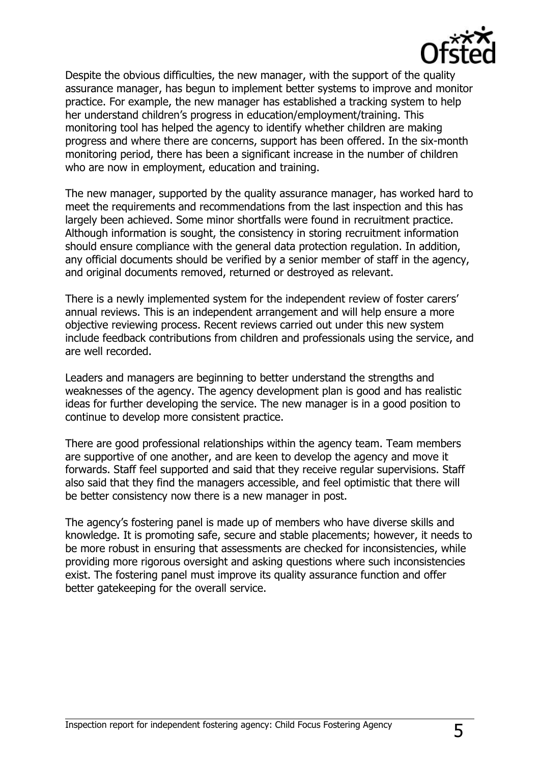

Despite the obvious difficulties, the new manager, with the support of the quality assurance manager, has begun to implement better systems to improve and monitor practice. For example, the new manager has established a tracking system to help her understand children's progress in education/employment/training. This monitoring tool has helped the agency to identify whether children are making progress and where there are concerns, support has been offered. In the six-month monitoring period, there has been a significant increase in the number of children who are now in employment, education and training.

The new manager, supported by the quality assurance manager, has worked hard to meet the requirements and recommendations from the last inspection and this has largely been achieved. Some minor shortfalls were found in recruitment practice. Although information is sought, the consistency in storing recruitment information should ensure compliance with the general data protection regulation. In addition, any official documents should be verified by a senior member of staff in the agency, and original documents removed, returned or destroyed as relevant.

There is a newly implemented system for the independent review of foster carers" annual reviews. This is an independent arrangement and will help ensure a more objective reviewing process. Recent reviews carried out under this new system include feedback contributions from children and professionals using the service, and are well recorded.

Leaders and managers are beginning to better understand the strengths and weaknesses of the agency. The agency development plan is good and has realistic ideas for further developing the service. The new manager is in a good position to continue to develop more consistent practice.

There are good professional relationships within the agency team. Team members are supportive of one another, and are keen to develop the agency and move it forwards. Staff feel supported and said that they receive regular supervisions. Staff also said that they find the managers accessible, and feel optimistic that there will be better consistency now there is a new manager in post.

The agency"s fostering panel is made up of members who have diverse skills and knowledge. It is promoting safe, secure and stable placements; however, it needs to be more robust in ensuring that assessments are checked for inconsistencies, while providing more rigorous oversight and asking questions where such inconsistencies exist. The fostering panel must improve its quality assurance function and offer better gatekeeping for the overall service.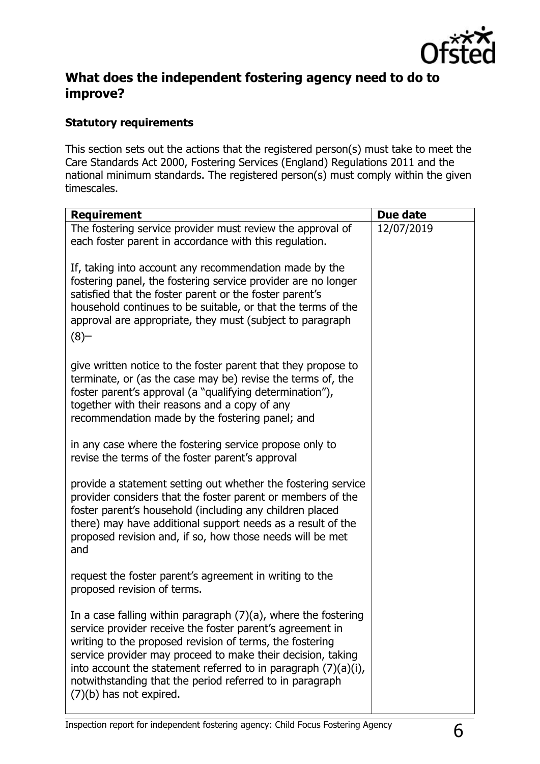

## **What does the independent fostering agency need to do to improve?**

## **Statutory requirements**

This section sets out the actions that the registered person(s) must take to meet the Care Standards Act 2000, Fostering Services (England) Regulations 2011 and the national minimum standards. The registered person(s) must comply within the given timescales.

| <b>Requirement</b>                                                                                                                                                                                                                                                                                                                                                                                                    | Due date   |
|-----------------------------------------------------------------------------------------------------------------------------------------------------------------------------------------------------------------------------------------------------------------------------------------------------------------------------------------------------------------------------------------------------------------------|------------|
| The fostering service provider must review the approval of<br>each foster parent in accordance with this regulation.                                                                                                                                                                                                                                                                                                  | 12/07/2019 |
| If, taking into account any recommendation made by the<br>fostering panel, the fostering service provider are no longer<br>satisfied that the foster parent or the foster parent's<br>household continues to be suitable, or that the terms of the<br>approval are appropriate, they must (subject to paragraph<br>(8)                                                                                                |            |
| give written notice to the foster parent that they propose to<br>terminate, or (as the case may be) revise the terms of, the<br>foster parent's approval (a "qualifying determination"),<br>together with their reasons and a copy of any<br>recommendation made by the fostering panel; and                                                                                                                          |            |
| in any case where the fostering service propose only to<br>revise the terms of the foster parent's approval                                                                                                                                                                                                                                                                                                           |            |
| provide a statement setting out whether the fostering service<br>provider considers that the foster parent or members of the<br>foster parent's household (including any children placed<br>there) may have additional support needs as a result of the<br>proposed revision and, if so, how those needs will be met<br>and                                                                                           |            |
| request the foster parent's agreement in writing to the<br>proposed revision of terms.                                                                                                                                                                                                                                                                                                                                |            |
| In a case falling within paragraph $(7)(a)$ , where the fostering<br>service provider receive the foster parent's agreement in<br>writing to the proposed revision of terms, the fostering<br>service provider may proceed to make their decision, taking<br>into account the statement referred to in paragraph $(7)(a)(i)$ ,<br>notwithstanding that the period referred to in paragraph<br>(7)(b) has not expired. |            |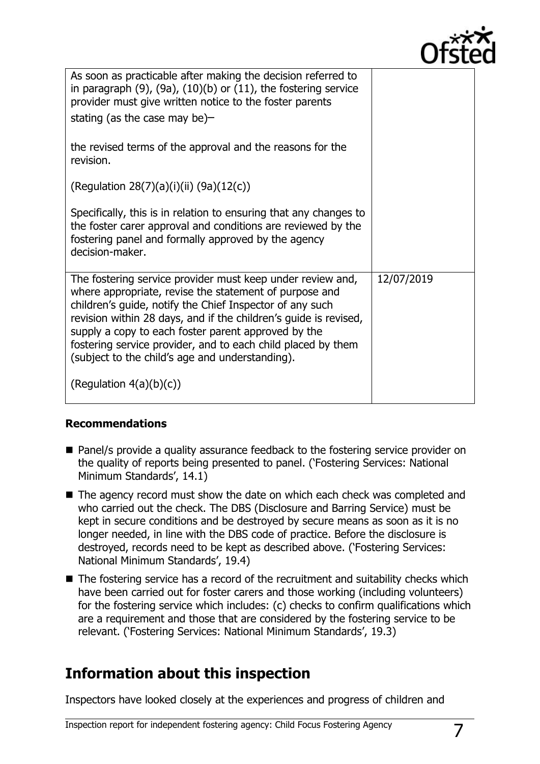

| As soon as practicable after making the decision referred to<br>in paragraph $(9)$ , $(9a)$ , $(10)(b)$ or $(11)$ , the fostering service<br>provider must give written notice to the foster parents                                                                                                                                                                                                                           |            |
|--------------------------------------------------------------------------------------------------------------------------------------------------------------------------------------------------------------------------------------------------------------------------------------------------------------------------------------------------------------------------------------------------------------------------------|------------|
| stating (as the case may be)-                                                                                                                                                                                                                                                                                                                                                                                                  |            |
| the revised terms of the approval and the reasons for the<br>revision.                                                                                                                                                                                                                                                                                                                                                         |            |
| (Regulation 28(7)(a)(i)(ii) (9a)(12(c))                                                                                                                                                                                                                                                                                                                                                                                        |            |
| Specifically, this is in relation to ensuring that any changes to<br>the foster carer approval and conditions are reviewed by the<br>fostering panel and formally approved by the agency<br>decision-maker.                                                                                                                                                                                                                    |            |
| The fostering service provider must keep under review and,<br>where appropriate, revise the statement of purpose and<br>children's guide, notify the Chief Inspector of any such<br>revision within 28 days, and if the children's guide is revised,<br>supply a copy to each foster parent approved by the<br>fostering service provider, and to each child placed by them<br>(subject to the child's age and understanding). | 12/07/2019 |
| (Regulation $4(a)(b)(c)$ )                                                                                                                                                                                                                                                                                                                                                                                                     |            |

### **Recommendations**

- Panel/s provide a quality assurance feedback to the fostering service provider on the quality of reports being presented to panel. ("Fostering Services: National Minimum Standards', 14.1)
- The agency record must show the date on which each check was completed and who carried out the check. The DBS (Disclosure and Barring Service) must be kept in secure conditions and be destroyed by secure means as soon as it is no longer needed, in line with the DBS code of practice. Before the disclosure is destroyed, records need to be kept as described above. ("Fostering Services: National Minimum Standards', 19.4)
- The fostering service has a record of the recruitment and suitability checks which have been carried out for foster carers and those working (including volunteers) for the fostering service which includes: (c) checks to confirm qualifications which are a requirement and those that are considered by the fostering service to be relevant. ('Fostering Services: National Minimum Standards', 19.3)

# **Information about this inspection**

Inspectors have looked closely at the experiences and progress of children and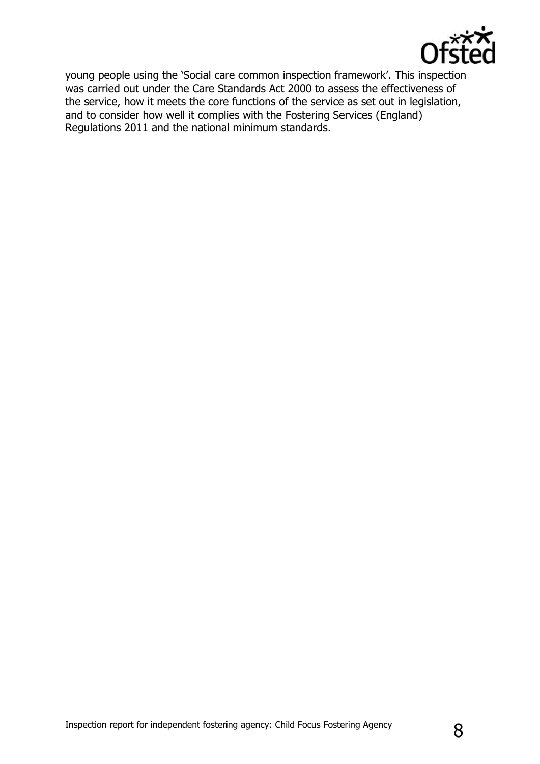

young people using the 'Social care common inspection framework'. This inspection was carried out under the Care Standards Act 2000 to assess the effectiveness of the service, how it meets the core functions of the service as set out in legislation, and to consider how well it complies with the Fostering Services (England) Regulations 2011 and the national minimum standards.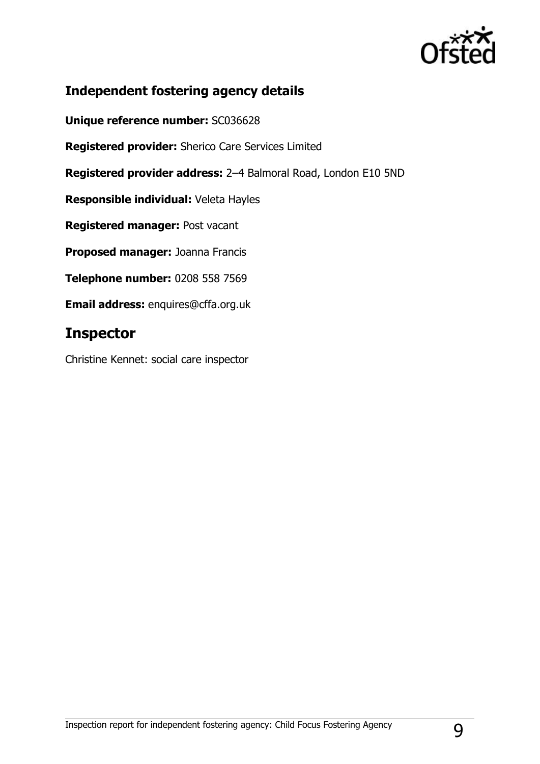

## **Independent fostering agency details**

**Unique reference number:** SC036628

**Registered provider:** Sherico Care Services Limited

**Registered provider address:** 2–4 Balmoral Road, London E10 5ND

**Responsible individual:** Veleta Hayles

**Registered manager:** Post vacant

**Proposed manager:** Joanna Francis

**Telephone number:** 0208 558 7569

**Email address:** enquires@cffa.org.uk

# **Inspector**

Christine Kennet: social care inspector